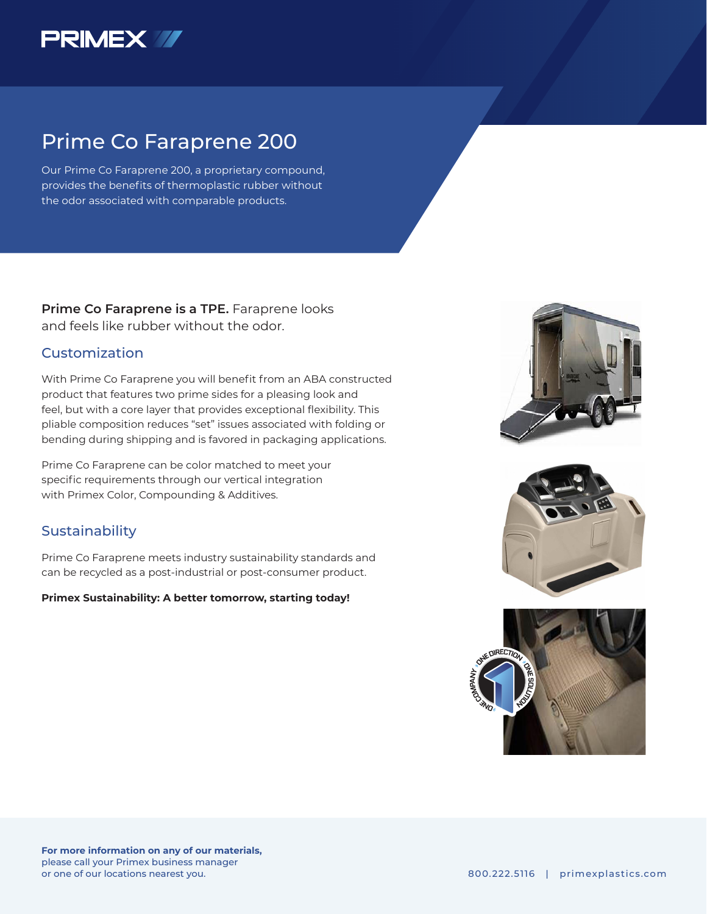

# Prime Co Faraprene 200

Our Prime Co Faraprene 200, a proprietary compound, provides the benefits of thermoplastic rubber without the odor associated with comparable products.

**Prime Co Faraprene is a TPE.** Faraprene looks and feels like rubber without the odor.

### Customization

With Prime Co Faraprene you will benefit from an ABA constructed product that features two prime sides for a pleasing look and feel, but with a core layer that provides exceptional flexibility. This pliable composition reduces "set" issues associated with folding or bending during shipping and is favored in packaging applications.

Prime Co Faraprene can be color matched to meet your specific requirements through our vertical integration with Primex Color, Compounding & Additives.

## **Sustainability**

Prime Co Faraprene meets industry sustainability standards and can be recycled as a post-industrial or post-consumer product.

**Primex Sustainability: A better tomorrow, starting today!**